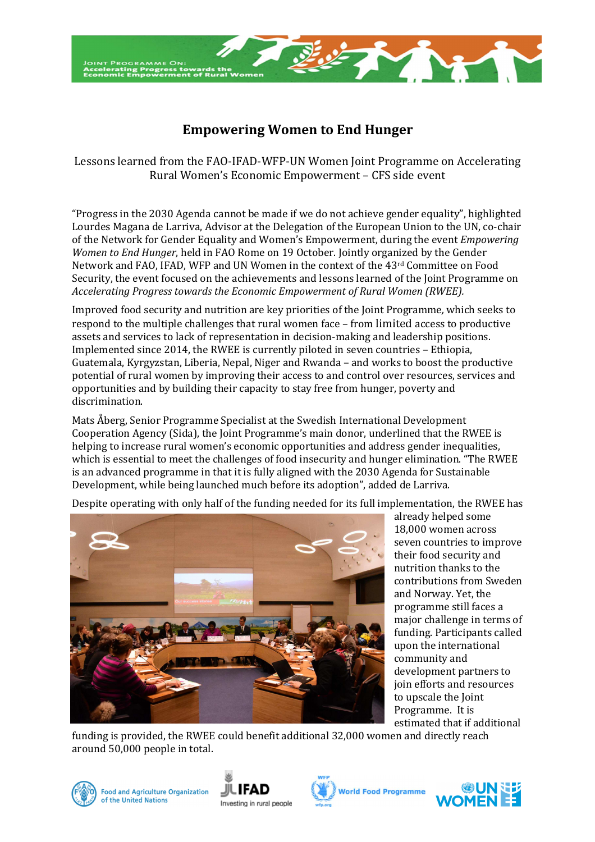

## **Empowering Women to End Hunger**

Lessons learned from the FAO-IFAD-WFP-UN Women Joint Programme on Accelerating Rural Women's Economic Empowerment – CFS side event

"Progress in the 2030 Agenda cannot be made if we do not achieve gender equality", highlighted Lourdes Magana de Larriva, Advisor at the Delegation of the European Union to the UN, co-chair of the Network for Gender Equality and Women's Empowerment, during the event *Empowering Women to End Hunger*, held in FAO Rome on 19 October. Jointly organized by the Gender Network and FAO, IFAD, WFP and UN Women in the context of the 43rd Committee on Food Security, the event focused on the achievements and lessons learned of the Joint Programme on *Accelerating Progress towards the Economic Empowerment of Rural Women (RWEE).* 

Improved food security and nutrition are key priorities of the Joint Programme*,* which seeks to respond to the multiple challenges that rural women face – from limited access to productive assets and services to lack of representation in decision-making and leadership positions. Implemented since 2014, the RWEE is currently piloted in seven countries – Ethiopia, Guatemala, Kyrgyzstan, Liberia, Nepal, Niger and Rwanda – and works to boost the productive potential of rural women by improving their access to and control over resources, services and opportunities and by building their capacity to stay free from hunger, poverty and discrimination.

Mats Åberg, Senior Programme Specialist at the Swedish International Development Cooperation Agency (Sida), the Joint Programme's main donor, underlined that the RWEE is helping to increase rural women's economic opportunities and address gender inequalities, which is essential to meet the challenges of food insecurity and hunger elimination. "The RWEE is an advanced programme in that it is fully aligned with the 2030 Agenda for Sustainable Development, while being launched much before its adoption", added de Larriva.



Despite operating with only half of the funding needed for its full implementation, the RWEE has

already helped some 18,000 women across seven countries to improve their food security and nutrition thanks to the contributions from Sweden and Norway. Yet, the programme still faces a major challenge in terms of funding. Participants called upon the international community and development partners to join efforts and resources to upscale the Joint Programme. It is estimated that if additional

funding is provided, the RWEE could benefit additional 32,000 women and directly reach around 50,000 people in total.



of the United Nations